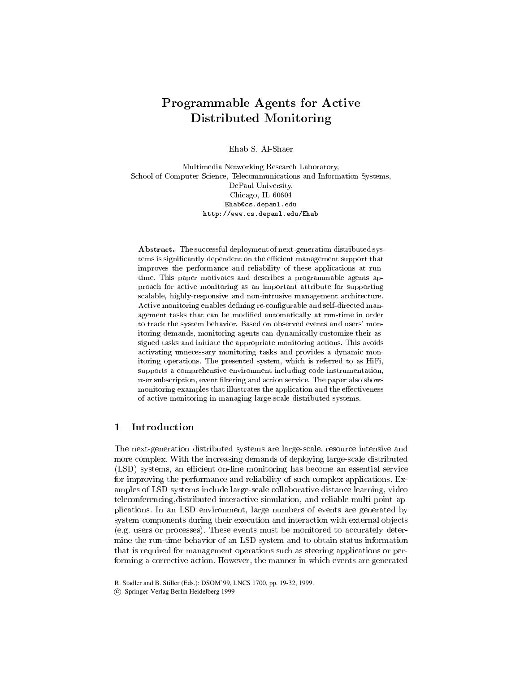# Programmable Agents for Active Distributed Monitoring

Ehab S. Al-Shaer

Multimedia Networking Research Laboratory, School of Computer Science, Telecommunications and Information Systems, DePaul University, Chicago, IL 60604 Ehab@cs.depaul.edu http://www.cs.depaul.edu/Ehab

Abstract. The successful deployment of next-generation distributed systems is significantly dependent on the efficient management support that improves the performance and reliability of these applications at run time. This paper motivates and describes a programmable agents approach for active monitoring as an important attribute for supporting scalable, highly-responsive and non-intrusive management architecture. Active monitoring enables defining re-configurable and self-directed management tasks that can be modied automatically at run-time in order to track the system behavior. Based on observed events and users' monitoring demands, monitoring agents can dynamically customize their assigned tasks and initiate the appropriate monitoring actions. This avoids activating unnecessary monitoring tasks and provides a dynamic monitoring operations. The presented system, which is referred to as HiFi, supports a comprehensive environment including code instrumentation, user subscription, event filtering and action service. The paper also shows monitoring examples that illustrates the application and the effectiveness of active monitoring in managing large-scale distributed systems.

#### $\mathbf{1}$ Introduction

The next-generation distributed systems are large-scale, resource intensive and more complex. With the increasing demands of deploying large-scale distributed (LSD) systems, an efficient on-line monitoring has become an essential service for improving the performance and reliability of such complex applications. Examples of LSD systems include large-scale collaborative distance learning, video teleconferencing,distributed interactive simulation, and reliable multi-point applications. In an LSD environment, large numbers of events are generated by system components during their execution and interaction with external objects (e.g. users or processes). These events must be monitored to accurately determine the run-time behavior of an LSD system and to obtain status information that is required for management operations such as steering applications or performing a corrective action. However, the manner in which events are generated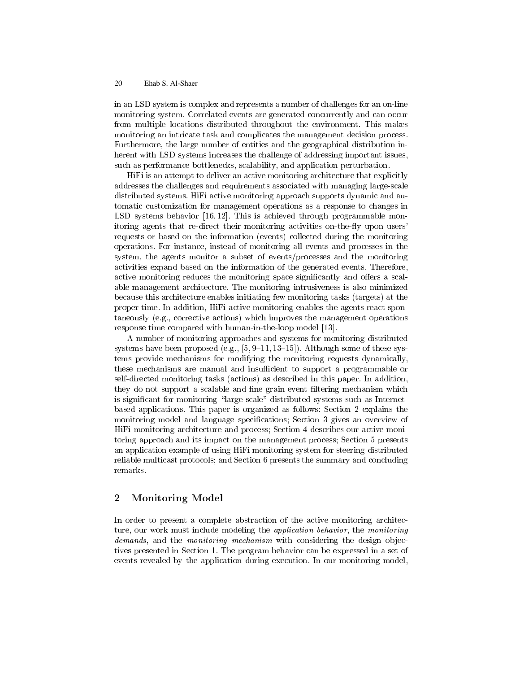in an LSD system is complex and represents a number of challenges for an on-line monitoring system. Correlated events are generated concurrently and can occur from multiple locations distributed throughout the environment. This makes monitoring an intricate task and complicates the management decision process. Furthermore, the large number of entities and the geographical distribution inherent with LSD systems increases the challenge of addressing important issues, such as performance bottlenecks, scalability, and application perturbation.

HiFi is an attempt to deliver an active monitoring architecture that explicitly addresses the challenges and requirements associated with managing large-scale distributed systems. HiFi active monitoring approach supports dynamic and automatic customization for management operations as a response to changes in LSD systems behavior [16,12]. This is achieved through programmable monitoring agents that re-direct their monitoring activities on-the-fly upon users' requests or based on the information (events) collected during the monitoring operations. For instance, instead of monitoring all events and processes in the system, the agents monitor a subset of events/processes and the monitoring activities expand based on the information of the generated events. Therefore, active monitoring reduces the monitoring space significantly and offers a scalable management architecture. The monitoring intrusiveness is also minimized because this architecture enables initiating few monitoring tasks (targets) at the proper time. In addition, HiFi active monitoring enables the agents react spontaneously (e.g., corrective actions) which improves the management operations response time compared with human-in-the-loop model [13].

A number of monitoring approaches and systems for monitoring distributed systems have been proposed (e.g.,  $[5, 9{-}11, 13{-}15]$ ). Although some of these systems provide mechanisms for modifying the monitoring requests dynamically, these mechanisms are manual and insufficient to support a programmable or self-directed monitoring tasks (actions) as described in this paper. In addition, they do not support a scalable and fine grain event filtering mechanism which is significant for monitoring "large-scale" distributed systems such as Internetbased applications. This paper is organized as follows: Section 2 explains the monitoring model and language specications; Section 3 gives an overview of HiFi monitoring architecture and process; Section 4 describes our active monitoring approach and its impact on the management process; Section 5 presents an application example of using HiFi monitoring system for steering distributed reliable multicast protocols; and Section 6 presents the summary and concluding remarks

#### $\bf{2}$ Monitoring Model

In order to present a complete abstraction of the active monitoring architecture, our work must include modeling the *application behavior*, the *monitoring* demands, and the monitoring mechanism with considering the design objectives presented in Section 1. The program behavior can be expressed in a set of events revealed by the application during execution. In our monitoring model,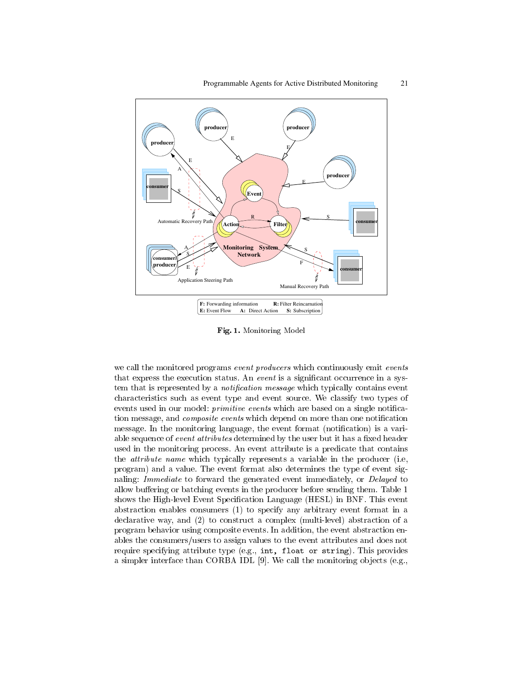

Fig. 1. Monitoring Model

we call the monitored programs event producers which continuously emit events that express the execution status. An event is a significant occurrence in a system that is represented by a *notification message* which typically contains event characteristics such as event type and event source. We classify two types of events used in our model: *primitive events* which are based on a single notification message, and *composite events* which depend on more than one notification message. In the monitoring language, the event format (notification) is a variable sequence of *event attributes* determined by the user but it has a fixed header used in the monitoring process. An event attribute is a predicate that contains the attribute name which typically represents a variable in the producer (i.e, program) and a value. The event format also determines the type of event signaling: Immediate to forward the generated event immediately, or Delayed to allow buffering or batching events in the producer before sending them. Table 1 shows the High-level Event Specification Language (HESL) in BNF. This event abstraction enables consumers (1) to specify any arbitrary event format in a declarative way, and (2) to construct a complex (multi-level) abstraction of a program behavior using composite events. In addition, the event abstraction enables the consumers/users to assign values to the event attributes and does not require specifying attribute type (e.g., int, float or string). This provides a simpler interface than CORBA IDL [9]. We call the monitoring ob jects (e.g.,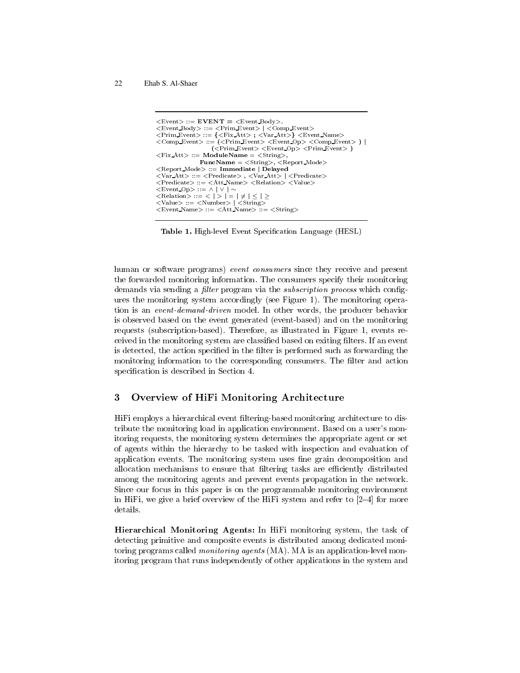```
\langleEvent> ::= EVENT = \langleEvent_Body>.
\langleEvent Body \rangle ::= \langlePrim Event > | \langleComp Event >
\langlePrim Event\rangle ::= {\{\langle Fix Att\rangle; \langle Var Att\rangle} \langle Event Name\rangle<Comp Event> ::= (<Prim Event> <Event Op> <Comp Event> ) j
                        (<Prim Event> <Event Op> <Prim Event> )
\langleFix_Att\rangle ::= ModuleName = \langleString\rangleFuncName = \langle String \rangle, \langle Report\_Mode \rangle<Report Mode> ::= Immediate j Delayed
<\!\!Var\_Att\!\!> ::= \langle Predicate\!\!> \; , \; <\!\!Var\_Att\!\!> \; | \; <\!\!Predicate\!\!><Predicate> ::= <Att Name> <Relation> <Value>
< Event Op> ::= \wedge | \vee | \sim\langleRelation\rangle ::= \langle | \rangle | = | \neq | \leq | \geq\langle \text{Value} \rangle ::= \langle \text{Number} \rangle | \langle \text{String} \rangle\langleEvent Name\rangle ::= \langleAtt Name\rangle ::= \langleString\rangle
```
Table 1. High-level Event Specication Language (HESL)

human or software programs) *event consumers* since they receive and present the forwarded monitoring information. The consumers specify their monitoring demands via sending a *filter* program via the *subscription process* which configures the monitoring system accordingly (see Figure 1). The monitoring operation is an event-demand-driven model. In other words, the producer behavior is observed based on the event generated (event-based) and on the monitoring requests (subscription-based). Therefore, as illustrated in Figure 1, events received in the monitoring system are classified based on exiting filters. If an event is detected, the action specified in the filter is performed such as forwarding the monitoring information to the corresponding consumers. The filter and action specification is described in Section 4.

## 3 Overview of HiFi Monitoring Architecture

HiFi employs a hierarchical event ltering-based monitoring architecture to distribute the monitoring load in application environment. Based on a user's monitoring requests, the monitoring system determines the appropriate agent or set of agents within the hierarchy to be tasked with inspection and evaluation of application events. The monitoring system uses fine grain decomposition and allocation mechanisms to ensure that filtering tasks are efficiently distributed among the monitoring agents and prevent events propagation in the network. Since our focus in this paper is on the programmable monitoring environment in HiFi, we give a brief overview of the HiFi system and refer to  $[2-4]$  for more details.

Hierarchical Monitoring Agents: In HiFi monitoring system, the task of detecting primitive and composite events is distributed among dedicated monitoring programs called *monitoring agents* (MA). MA is an application-level monitoring program that runs independently of other applications in the system and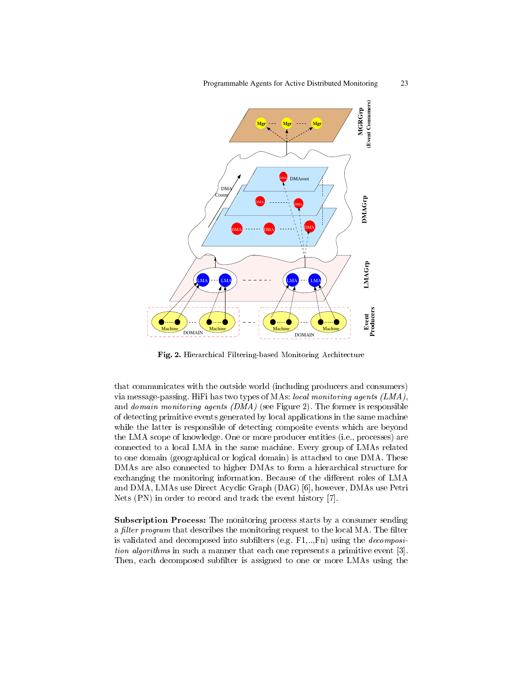

Fig. 2. Hierarchical Filtering-based Monitoring Architecture

that communicates with the outside world (including producers and consumers) via message-passing. HiFi has two types of MAs: local monitoring agents (LMA), and *domain monitoring agents (DMA)* (see Figure 2). The former is responsible of detecting primitive events generated by local applications in the same machine while the latter is responsible of detecting composite events which are beyond the LMA scope of knowledge. One or more producer entities (i.e., processes) are connected to a local LMA in the same machine. Every group of LMAs related to one domain (geographical or logical domain) is attached to one DMA. These DMAs are also connected to higher DMAs to form a hierarchical structure for exchanging the monitoring information. Because of the different roles of LMA and DMA, LMAs use Direct Acyclic Graph (DAG) [6], however, DMAs use Petri Nets (PN) in order to record and track the event history [7].

Subscription Process: The monitoring process starts by a consumer sending a *filter program* that describes the monitoring request to the local MA. The filter is validated and decomposed into subfilters (e.g.  $F1,...,Fn$ ) using the *decomposi*tion algorithms in such a manner that each one represents a primitive event [3]. Then, each decomposed sublter is assigned to one or more LMAs using the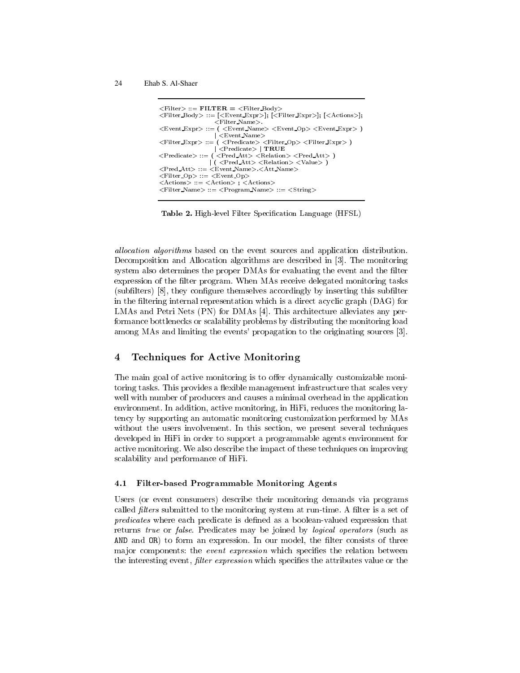```
\langleFilter> ::= FILTER = \langleFilter_Body>
<Filter Body> ::= [<Event Expr>]; [<Filter Expr>]; [<Actions>];
                 <Filter Name>. <Event Expr> ::= ( <Event Name> <Event Op> <Event Expr> )
                 | <Event Name>
<Filter Expr> ::= ( <Predicate> <Filter Op> <Filter Expr> )
\langle Predicate> ::= (\langle Pred_Att> \langle Relation> \langle Pred_Att>)
                j ( <Pred Att> <Relation> <Value> )
<Pred Att> ::= <Event Name>.<Att Name>
\langleFilter_Op\rangle ::= \langleEvent_Op\rangle<Actions> ::= <Action> ; <Actions>
<Filter Name> ::= <Program Name> ::= <String>
```
Table 2. High-level Filter Specication Language (HFSL)

allocation algorithms based on the event sources and application distribution. Decomposition and Allocation algorithms are described in [3]. The monitoring system also determines the proper DMAs for evaluating the event and the filter expression of the filter program. When MAs receive delegated monitoring tasks  $\alpha$  (subfilters) [8], they configure themselves accordingly by inserting this subfilter in the filtering internal representation which is a direct acyclic graph  $(DAG)$  for LMAs and Petri Nets (PN) for DMAs [4]. This architecture alleviates any performance bottlenecks or scalability problems by distributing the monitoring load among MAs and limiting the events' propagation to the originating sources [3].

## 4 Techniques for Active Monitoring

The main goal of active monitoring is to offer dynamically customizable monitoring tasks. This provides a flexible management infrastructure that scales very well with number of producers and causes a minimal overhead in the application environment. In addition, active monitoring, in HiFi, reduces the monitoring latency by supporting an automatic monitoring customization performed by MAs without the users involvement. In this section, we present several techniques developed in HiFi in order to support a programmable agents environment for active monitoring. We also describe the impact of these techniques on improving scalability and performance of HiFi.

### 4.1 Filter-based Programmable Monitoring Agents

Users (or event consumers) describe their monitoring demands via programs called *filters* submitted to the monitoring system at run-time. A filter is a set of predicates where each predicate is defined as a boolean-valued expression that returns true or false. Predicates may be joined by logical operators (such as AND and OR) to form an expression. In our model, the filter consists of three major components: the *event expression* which specifies the relation between the interesting event, *filter expression* which specifies the attributes value or the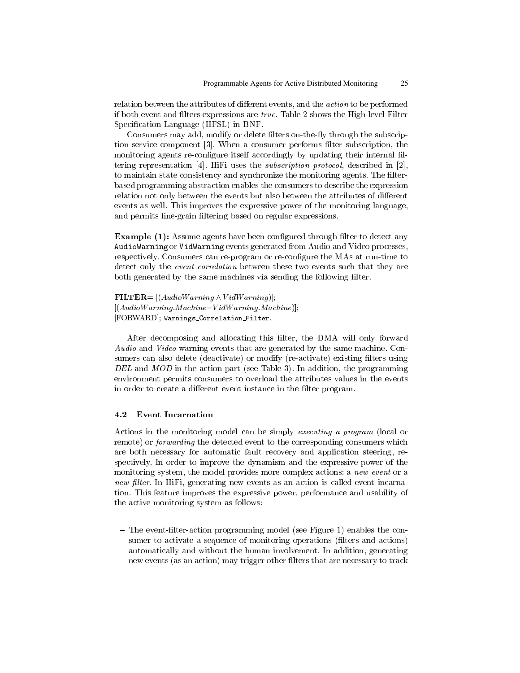relation between the attributes of different events, and the *action* to be performed if both event and filters expressions are  $true$ . Table 2 shows the High-level Filter Specification Language (HFSL) in BNF.

Consumers may add, modify or delete filters on-the-fly through the subscription service component [3]. When a consumer performs lter subscription, the monitoring agents re-configure itself accordingly by updating their internal filtering representation [4]. HiFi uses the *subscription protocol*, described in [2], to maintain state consistency and synchronize the monitoring agents. The lterbased programming abstraction enables the consumers to describe the expression relation not only between the events but also between the attributes of different events as well. This improves the expressive power of the monitoring language, and permits fine-grain filtering based on regular expressions.

**Example (1):** Assume agents have been configured through filter to detect any AudioWarning or VidWarning events generated from Audio and Video processes, respectively. Consumers can re-program or re-configure the MAs at run-time to detect only the event correlation between these two events such that they are both generated by the same machines via sending the following filter.

FILTER=  $[(\text{AudioWarning} \wedge \text{V} \text{ idW} \text{arning})]$ ;  $[(AudioWarning.Machine=VidWarning.Machine)];$ [FORWARD]; Warnings Correlation Filter.

After decomposing and allocating this filter, the DMA will only forward Audio and Video warning events that are generated by the same machine. Consumers can also delete (deactivate) or modify (re-activate) existing lters using DEL and MOD in the action part (see Table 3). In addition, the programming environment permits consumers to overload the attributes values in the events in order to create a different event instance in the filter program.

### $4.2$

Actions in the monitoring model can be simply executing a program (local or remote) or *forwarding* the detected event to the corresponding consumers which are both necessary for automatic fault recovery and application steering, respectively. In order to improve the dynamism and the expressive power of the monitoring system, the model provides more complex actions: a *new event* or a new filter. In HiFi, generating new events as an action is called event incarnation. This feature improves the expressive power, performance and usability of the active monitoring system as follows:

- The event-filter-action programming model (see Figure 1) enables the consumer to activate a sequence of monitoring operations (filters and actions) automatically and without the human involvement. In addition, generating new events (as an action) may trigger other filters that are necessary to track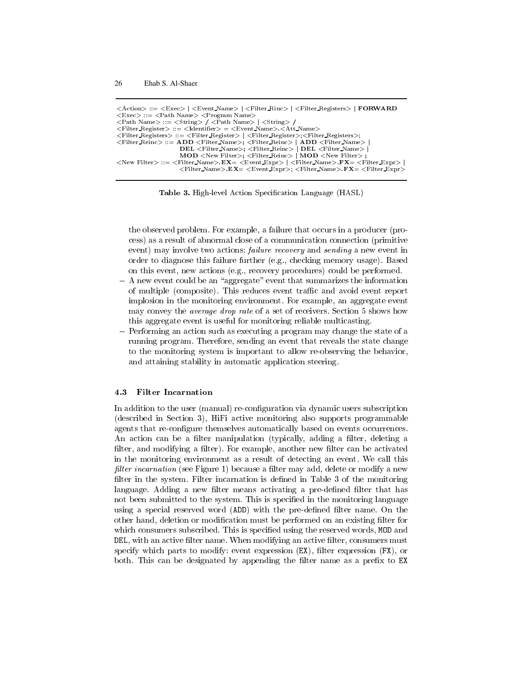```
<Action> ::= <Exec> j <Event Name> j <Filter Rinc> j <Filter Registers> j FORWARD
{ <\hspace{-1.5pt}{\rm Exc}\hspace{-1.5pt}>}::={<}{\rm Path\hspace{0.5pt}}\hspace{-1.5pt}{\rm Name}\hspace{-1.5pt}><}{\rm Program\hspace{0.5pt}}{\rm Name}\hspace{-1.5pt}>\langlePath Name> ::= \langleString> / \langlePath Name> | \langleString> /
<Filter Register> ::= <Identier> = <Event Name>.<Att Name>
<Filter Registers> ::= <Filter Register> j <Filter Register>;<Filter Registers>; <Filter Reinc> ::= ADD <Filter Name>; <Filter Reinc> j ADD <Filter Name> j
                             DEL <Filter Name>; <Filter Reinc> j DEL <Filter Name> j
MOD <New Filter>; <Filter Reinc> j MOD <New Filter> ; \langle N_{\rm EW} \rangle = \langle N_{\rm GW} \rangle = 1 ame> 0.5 . EX= \langle N_{\rm GW} \rangle = 1 ame\langle N_{\rm GW} \rangle = 1 ame\langle N_{\rm GW} \rangle = 1 ameter N_{\rm GW}\langle Filter_Name>.EX= \langle Event_Expr>; \langle Filter_Name>.FX= \langle Filter_Expr>
```
Table 3. High-level Action Specication Language (HASL)

the observed problem. For example, a failure that occurs in a producer (process) as a result of abnormal close of a communication connection (primitive event) may involve two actions: *failure recovery* and *sending* a new event in order to diagnose this failure further (e.g., checking memory usage). Based on this event, new actions (e.g., recovery procedures) could be performed.

- ${\rm -A}$  new event could be an "aggregate" event that summarizes the information of multiple (composite). This reduces event traffic and avoid event report implosion in the monitoring environment. For example, an aggregate event may convey the *average drop rate* of a set of receivers. Section 5 shows how this aggregate event is useful for monitoring reliable multicasting.
- { Performing an action such as executing a program may change the state of a running program. Therefore, sending an event that reveals the state change to the monitoring system is important to allow re-observing the behavior, and attaining stability in automatic application steering.

### 4.3 Filter Incarnation

In addition to the user (manual) re-configuration via dynamic users subscription (described in Section 3), HiFi active monitoring also supports programmable agents that re-configure themselves automatically based on events occurrences. An action can be a filter manipulation (typically, adding a filter, deleting a filter, and modifying a filter). For example, another new filter can be activated in the monitoring environment as a result of detecting an event. We call this *filter incarnation* (see Figure 1) because a filter may add, delete or modify a new filter in the system. Filter incarnation is defined in Table 3 of the monitoring language. Adding a new filter means activating a pre-defined filter that has not been submitted to the system. This is specified in the monitoring language using a special reserved word (ADD) with the pre-defined filter name. On the other hand, deletion or modification must be performed on an existing filter for which consumers subscribed. This is specified using the reserved words, MOD and DEL, with an active filter name. When modifying an active filter, consumers must specify which parts to modify: event expression (EX), lter expression (FX), or both. This can be designated by appending the filter name as a prefix to EX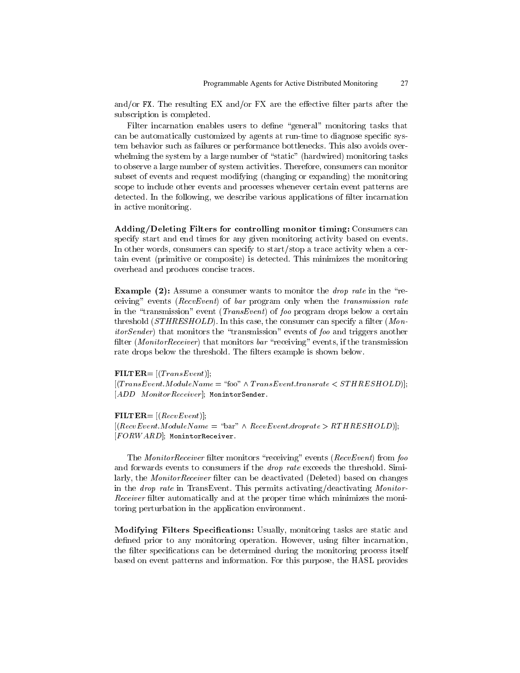and/or FX. The resulting  $EX$  and/or FX are the effective filter parts after the subscription is completed.

Filter incarnation enables users to define "general" monitoring tasks that can be automatically customized by agents at run-time to diagnose specific system behavior such as failures or performance bottlenecks. This also avoids overwhelming the system by a large number of "static" (hardwired) monitoring tasks to observe a large number of system activities. Therefore, consumers can monitor subset of events and request modifying (changing or expanding) the monitoring scope to include other events and processes whenever certain event patterns are detected. In the following, we describe various applications of filter incarnation in active monitoring.

Adding/Deleting Filters for controlling monitor timing: Consumers can specify start and end times for any given monitoring activity based on events. In other words, consumers can specify to start/stop a trace activity when a certain event (primitive or composite) is detected. This minimizes the monitoring overhead and produces concise traces.

**Example (2):** Assume a consumer wants to monitor the *drop rate* in the "receiving" events (RecvEvent) of bar program only when the transmission rate in the "transmission" event (*TransEvent*) of *foo* program drops below a certain threshold  $(STHRESHOLD)$ . In this case, the consumer can specify a filter (*MonitorSender*) that monitors the "transmission" events of foo and triggers another filter (*MonitorReceiver*) that monitors *bar* "receiving" events, if the transmission rate drops below the threshold. The filters example is shown below.

 $\textbf{FILTER} = [(TransEvent)];$  $[(TransEvent.ModuleName = "foo" \land TransEvent.transpose < STHRESHOLD)];$  $[ADD\;<sup>1</sup> MonitorReceiver]; MonintorSender.$ 

 $\textbf{FILTER} = [(RecvEvent)];$  $[(RecvEvent.ModuleName = "bar" \land RecvEvent.droprate > RTHRESHOLD)];$  $[FORMARD]$ ; MonintorReceiver.

The *MonitorReceiver* filter monitors "receiving" events ( $RecvEvent$ ) from foo and forwards events to consumers if the drop rate exceeds the threshold. Similarly, the *MonitorReceiver* filter can be deactivated (Deleted) based on changes in the drop rate in TransEvent. This permits activating/deactivating Monitor-Receiver filter automatically and at the proper time which minimizes the monitoring perturbation in the application environment.

Modifying Filters Specications: Usually, monitoring tasks are static and defined prior to any monitoring operation. However, using filter incarnation, the filter specifications can be determined during the monitoring process itself based on event patterns and information. For this purpose, the HASL provides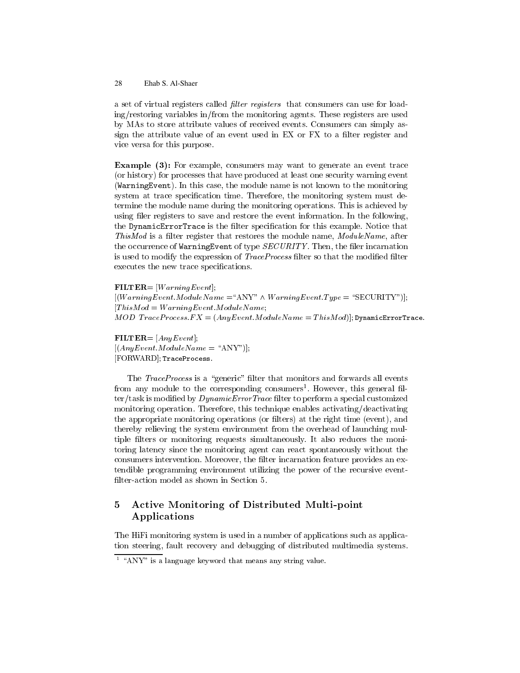a set of virtual registers called *filter registers* that consumers can use for loading/restoring variables in/from the monitoring agents. These registers are used by MAs to store attribute values of received events. Consumers can simply assign the attribute value of an event used in EX or FX to a filter register and vice versa for this purpose.

Example (3): For example, consumers may want to generate an event trace (or history) for processes that have produced at least one security warning event (WarningEvent). In this case, the module name is not known to the monitoring system at trace specification time. Therefore, the monitoring system must determine the module name during the monitoring operations. This is achieved by using filer registers to save and restore the event information. In the following, the DynamicErrorTrace is the filter specification for this example. Notice that ThisMod is a filter register that restores the module name,  $ModuleName$ , after the occurrence of WarningEvent of type  $SECURITY$ . Then, the filer incarnation is used to modify the expression of *TraceProcess* filter so that the modified filter executes the new trace specifications.

 $\textbf{FILTER} = [WarningEvent];$  $[(Warning Event.ModuleName = "ANY" \wedge WarningEvent.T ype = "SECTION");$  $[This Mod = WarningEvent.ModuleName;$  $MOD\ Trace Process.FX = (Any Event.ModuleName = ThisMod];$  DynamicErrorTrace.

 $\textbf{FILTER} = [AnyEvent];$  $[(Any Event.ModuleName = "ANY")];$ [FORWARD]; TraceProcess:

The *TraceProcess* is a "generic" filter that monitors and forwards all events from any module to the corresponding consumers". However, this general in $ter/task$  is modified by  $Dynamic ErrorTrace$  filter to perform a special customized monitoring operation. Therefore, this technique enables activating/deactivating the appropriate monitoring operations (or filters) at the right time (event), and thereby relieving the system environment from the overhead of launching multiple filters or monitoring requests simultaneously. It also reduces the monitoring latency since the monitoring agent can react spontaneously without the consumers intervention. Moreover, the filter incarnation feature provides an extendible programming environment utilizing the power of the recursive event filter-action model as shown in Section 5.

#### $\overline{5}$ 5 Active Monitoring of Distributed Multi-point Applications

The HiFi monitoring system is used in a number of applications such as application steering, fault recovery and debugging of distributed multimedia systems.

t "ANY" is a language keyword that means any string value.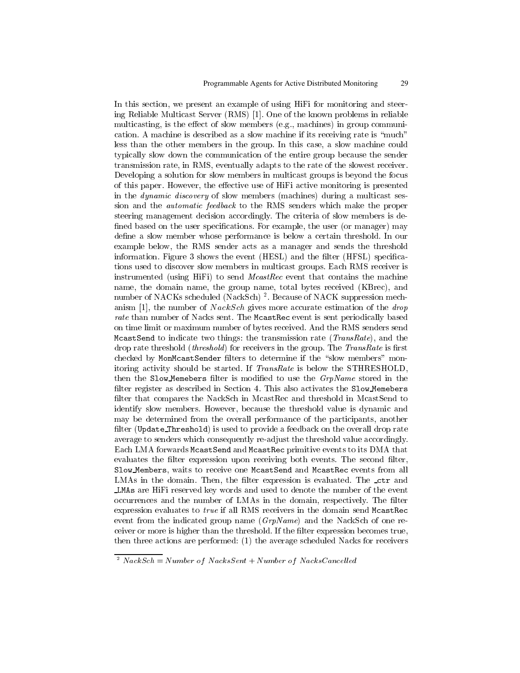In this section, we present an example of using HiFi for monitoring and steering Reliable Multicast Server (RMS) [1]. One of the known problems in reliable multicasting, is the effect of slow members (e.g., machines) in group communication. A machine is described as a slow machine if its receiving rate is \much" less than the other members in the group. In this case, a slow machine could typically slow down the communication of the entire group because the sender transmission rate, in RMS, eventually adapts to the rate of the slowest receiver. Developing a solution for slow members in multicast groups is beyond the focus of this paper. However, the effective use of HiFi active monitoring is presented in the *dynamic discovery* of slow members (machines) during a multicast session and the automatic feedback to the RMS senders which make the proper steering management decision accordingly. The criteria of slow members is de fined based on the user specifications. For example, the user (or manager) may dene a slow member whose performance is below a certain threshold. In our example below, the RMS sender acts as a manager and sends the threshold information. Figure 3 shows the event (HESL) and the filter (HFSL) specifications used to discover slow members in multicast groups. Each RMS receiver is instrumented (using HiFi) to send  $McastRec$  event that contains the machine name, the domain name, the group name, total bytes received (KBrec), and number of NACKs scheduled (NackSch) <sup>2</sup> . Because of NACK suppression mechanism [1], the number of *NackSch* gives more accurate estimation of the *drop* rate than number of Nacks sent. The McastRec event is sent periodically based on time limit or maximum number of bytes received. And the RMS senders send McastSend to indicate two things: the transmission rate (*TransRate*), and the drop rate threshold *(threshold)* for receivers in the group. The *TransRate* is first checked by MonMcastSender filters to determine if the "slow members" monitoring activity should be started. If TransRate is below the STHRESHOLD, then the Slow Memebers filter is modified to use the  $GrpName$  stored in the filter register as described in Section 4. This also activates the Slow Memebers filter that compares the NackSch in McastRec and threshold in McastSend to identify slow members. However, because the threshold value is dynamic and may be determined from the overall performance of the participants, another filter (Update\_Threshold) is used to provide a feedback on the overall drop rate average to senders which consequently re-adjust the threshold value accordingly. Each LMA forwards McastSend and McastRec primitive events to its DMA that evaluates the filter expression upon receiving both events. The second filter, Slow Members, waits to receive one McastSend and McastRec events from all LMAs in the domain. Then, the filter expression is evaluated. The  $ctr$  and LMAs are HiFi reserved key words and used to denote the number of the event occurrences and the number of LMAs in the domain, respectively. The filter expression evaluates to true if all RMS receivers in the domain send McastRec event from the indicated group name  $(GrpName)$  and the NackSch of one receiver or more is higher than the threshold. If the filter expression becomes true, then three actions are performed: (1) the average scheduled Nacks for receivers

 $\sigma$  N acksch  $\sigma$  N umber of N ackssent  $\pm$  N umber of N acks $U$  ancelled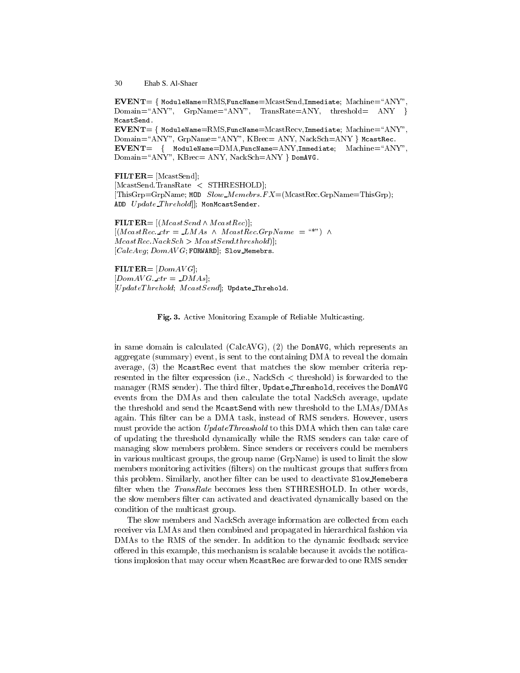$\textbf{EVENT}=\{$  ModuleName=RMS, FuncName=McastSend, Immediate; Machine="ANY",  $\text{Domain}=\text{``ANY''},\quad \text{GrpName}=\text{``ANY''},\quad \text{TransRate}=\text{ANY},\quad \text{threshold}=\quad \text{ANY}\quad \}$ McastSend.  $\textbf{EVENT}=\{$  ModuleName=RMS,FuncName=McastRecv,Immediate; Machine="ANY", Domain="ANY", GrpName="ANY", KBrec= ANY, NackSch=ANY } McastRec. EVENT= {  $Modul$ eName=DMA, FuncName=ANY, Immediate; Machine="ANY", Domain="ANY", KBrec= ANY, NackSch=ANY } DomAVG.

FILTER= [McastSend]; [McastSend.TransRate < STHRESHOLD]; [ThisGrp=GrpName; M0D  $Slow\_Members.FX = (McastRec.GrpName=ThisGrp);$ ADD  $Update\,Threhold]$ ; MonMcastSender.

FILTER=  $[(M castSend \wedge MaxRec)];$  $[(M castRec. cr = LMAs \wedge MaxRec.GrpName = **") \wedge$  $M castRec.NackSch > M castSend.threshold$ ];  $[CalcAvg; DomAVG; FORMARD];$  Slow Memebrs.

 $\textbf{FILTER} = [DomAVG];$  $[DomAVG\_ctr = \_DMAs]$ ;  $[UpdateThrehold; \; MacastSend];$  Update\_Threhold.

Fig. 3. Active Monitoring Example of Reliable Multicasting.

in same domain is calculated (CalcAVG), (2) the DomAVG, which represents an aggregate (summary) event, is sent to the containing DMA to reveal the domain average, (3) the McastRec event that matches the slow member criteria represented in the filter expression (i.e., NackSch  $\lt$  threshold) is forwarded to the manager (RMS sender). The third filter, Update\_Threshold, receives the DomAVG events from the DMAs and then calculate the total NackSch average, update the threshold and send the McastSend with new threshold to the LMAs/DMAs again. This filter can be a DMA task, instead of RMS senders. However, users must provide the action UpdateThreashold to this DMA which then can take care of updating the threshold dynamically while the RMS senders can take care of managing slow members problem. Since senders or receivers could be members in various multicast groups, the group name (GrpName) is used to limit the slow members monitoring activities (filters) on the multicast groups that suffers from this problem. Similarly, another filter can be used to deactivate Slow Memebers filter when the *TransRate* becomes less then STHRESHOLD. In other words, the slow members lter can activated and deactivated dynamically based on the condition of the multicast group.

The slow members and NackSch average information are collected from each receiver via LMAs and then combined and propagated in hierarchical fashion via DMAs to the RMS of the sender. In addition to the dynamic feedback service offered in this example, this mechanism is scalable because it avoids the notifications implosion that may occur when McastRec are forwarded to one RMS sender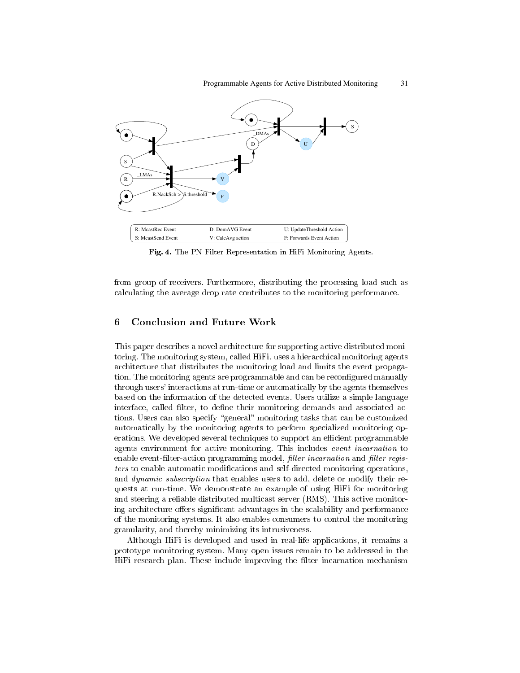

Fig. 4. The PN Filter Representation in HiFi Monitoring Agents.

from group of receivers. Furthermore, distributing the processing load such as calculating the average drop rate contributes to the monitoring performance.

#### 6 **Conclusion and Future Work**

This paper describes a novel architecture for supporting active distributed monitoring. The monitoring system, called HiFi, uses a hierarchical monitoring agents architecture that distributes the monitoring load and limits the event propagation. The monitoring agents are programmable and can be reconfigured manually through users' interactions at run-time or automatically by the agents themselves based on the information of the detected events. Users utilize a simple language interface, called filter, to define their monitoring demands and associated actions. Users can also specify \general" monitoring tasks that can be customized automatically by the monitoring agents to perform specialized monitoring operations. We developed several techniques to support an efficient programmable agents environment for active monitoring. This includes event incarnation to enable event-filter-action programming model, *filter incarnation* and *filter regis*ters to enable automatic modifications and self-directed monitoring operations, and *dynamic subscription* that enables users to add, delete or modify their requests at run-time. We demonstrate an example of using HiFi for monitoring and steering a reliable distributed multicast server (RMS). This active monitoring architecture offers significant advantages in the scalability and performance of the monitoring systems. It also enables consumers to control the monitoring granularity, and thereby minimizing its intrusiveness.

Although HiFi is developed and used in real-life applications, it remains a prototype monitoring system. Many open issues remain to be addressed in the HiFi research plan. These include improving the lter incarnation mechanism